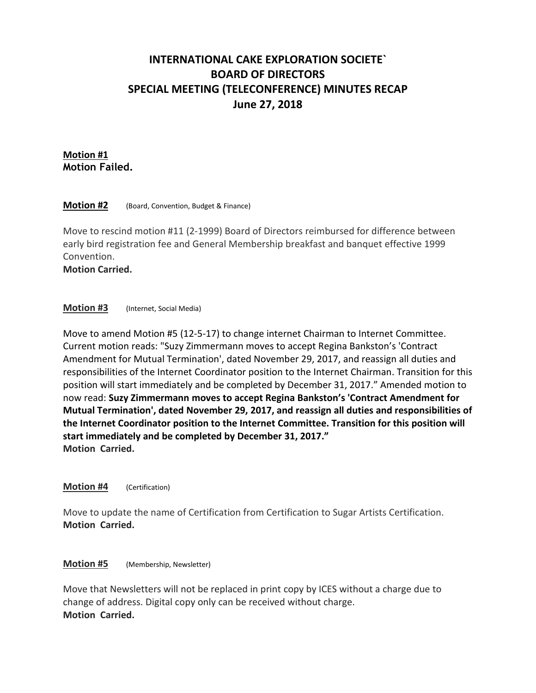# **INTERNATIONAL CAKE EXPLORATION SOCIETE` BOARD OF DIRECTORS SPECIAL MEETING (TELECONFERENCE) MINUTES RECAP June 27, 2018**

# **Motion #1 Motion Failed.**

## **Motion #2** (Board, Convention, Budget & Finance)

Move to rescind motion #11 (2-1999) Board of Directors reimbursed for difference between early bird registration fee and General Membership breakfast and banquet effective 1999 Convention.

**Motion Carried.**

## **Motion #3** (Internet, Social Media)

Move to amend Motion #5 (12-5-17) to change internet Chairman to Internet Committee. Current motion reads: "Suzy Zimmermann moves to accept Regina Bankston's 'Contract Amendment for Mutual Termination', dated November 29, 2017, and reassign all duties and responsibilities of the Internet Coordinator position to the Internet Chairman. Transition for this position will start immediately and be completed by December 31, 2017." Amended motion to now read: **Suzy Zimmermann moves to accept Regina Bankston's 'Contract Amendment for Mutual Termination', dated November 29, 2017, and reassign all duties and responsibilities of the Internet Coordinator position to the Internet Committee. Transition for this position will start immediately and be completed by December 31, 2017." Motion Carried.**

#### **Motion #4** (Certification)

Move to update the name of Certification from Certification to Sugar Artists Certification. **Motion Carried.**

# **Motion #5** (Membership, Newsletter)

Move that Newsletters will not be replaced in print copy by ICES without a charge due to change of address. Digital copy only can be received without charge. **Motion Carried.**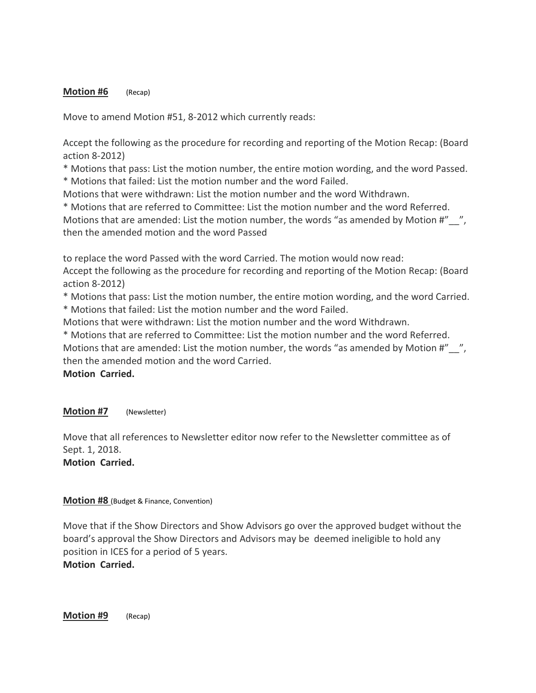## **Motion #6** (Recap)

Move to amend Motion #51, 8-2012 which currently reads:

Accept the following as the procedure for recording and reporting of the Motion Recap: (Board action 8-2012)

\* Motions that pass: List the motion number, the entire motion wording, and the word Passed.

\* Motions that failed: List the motion number and the word Failed.

Motions that were withdrawn: List the motion number and the word Withdrawn.

\* Motions that are referred to Committee: List the motion number and the word Referred. Motions that are amended: List the motion number, the words "as amended by Motion #"\_\_", then the amended motion and the word Passed

to replace the word Passed with the word Carried. The motion would now read:

Accept the following as the procedure for recording and reporting of the Motion Recap: (Board action 8-2012)

\* Motions that pass: List the motion number, the entire motion wording, and the word Carried.

\* Motions that failed: List the motion number and the word Failed.

Motions that were withdrawn: List the motion number and the word Withdrawn.

\* Motions that are referred to Committee: List the motion number and the word Referred.

Motions that are amended: List the motion number, the words "as amended by Motion #" \_\_", then the amended motion and the word Carried.

**Motion Carried.**

# **Motion #7** (Newsletter)

Move that all references to Newsletter editor now refer to the Newsletter committee as of Sept. 1, 2018. **Motion Carried.**

# **Motion #8** (Budget & Finance, Convention)

Move that if the Show Directors and Show Advisors go over the approved budget without the board's approval the Show Directors and Advisors may be deemed ineligible to hold any position in ICES for a period of 5 years. **Motion Carried.**

**Motion #9** (Recap)